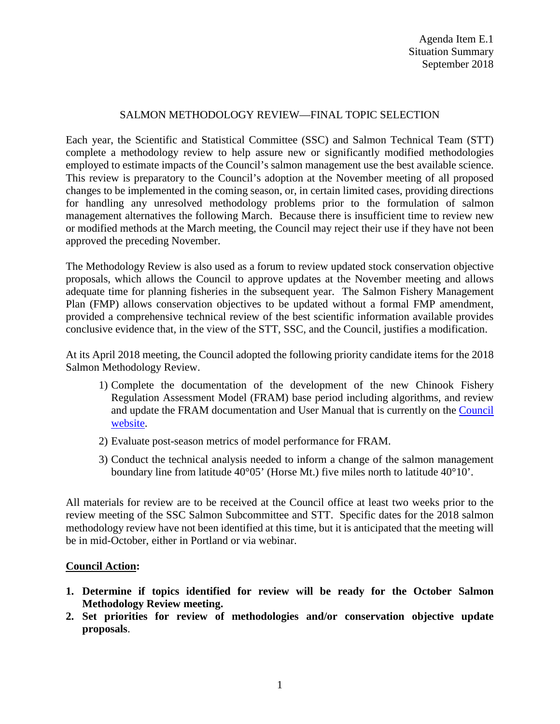## SALMON METHODOLOGY REVIEW—FINAL TOPIC SELECTION

Each year, the Scientific and Statistical Committee (SSC) and Salmon Technical Team (STT) complete a methodology review to help assure new or significantly modified methodologies employed to estimate impacts of the Council's salmon management use the best available science. This review is preparatory to the Council's adoption at the November meeting of all proposed changes to be implemented in the coming season, or, in certain limited cases, providing directions for handling any unresolved methodology problems prior to the formulation of salmon management alternatives the following March. Because there is insufficient time to review new or modified methods at the March meeting, the Council may reject their use if they have not been approved the preceding November.

The Methodology Review is also used as a forum to review updated stock conservation objective proposals, which allows the Council to approve updates at the November meeting and allows adequate time for planning fisheries in the subsequent year. The Salmon Fishery Management Plan (FMP) allows conservation objectives to be updated without a formal FMP amendment, provided a comprehensive technical review of the best scientific information available provides conclusive evidence that, in the view of the STT, SSC, and the Council, justifies a modification.

At its April 2018 meeting, the Council adopted the following priority candidate items for the 2018 Salmon Methodology Review.

- 1) Complete the documentation of the development of the new Chinook Fishery Regulation Assessment Model (FRAM) base period including algorithms, and review and update the FRAM documentation and User Manual that is currently on the [Council](https://www.pcouncil.org/salmon/background/document-library/fishery-regulation-assessment-model-fram-documentation/)  [website.](https://www.pcouncil.org/salmon/background/document-library/fishery-regulation-assessment-model-fram-documentation/)
- 2) Evaluate post-season metrics of model performance for FRAM.
- 3) Conduct the technical analysis needed to inform a change of the salmon management boundary line from latitude 40°05' (Horse Mt.) five miles north to latitude 40°10'.

All materials for review are to be received at the Council office at least two weeks prior to the review meeting of the SSC Salmon Subcommittee and STT. Specific dates for the 2018 salmon methodology review have not been identified at this time, but it is anticipated that the meeting will be in mid-October, either in Portland or via webinar.

## **Council Action:**

- **1. Determine if topics identified for review will be ready for the October Salmon Methodology Review meeting.**
- **2. Set priorities for review of methodologies and/or conservation objective update proposals**.